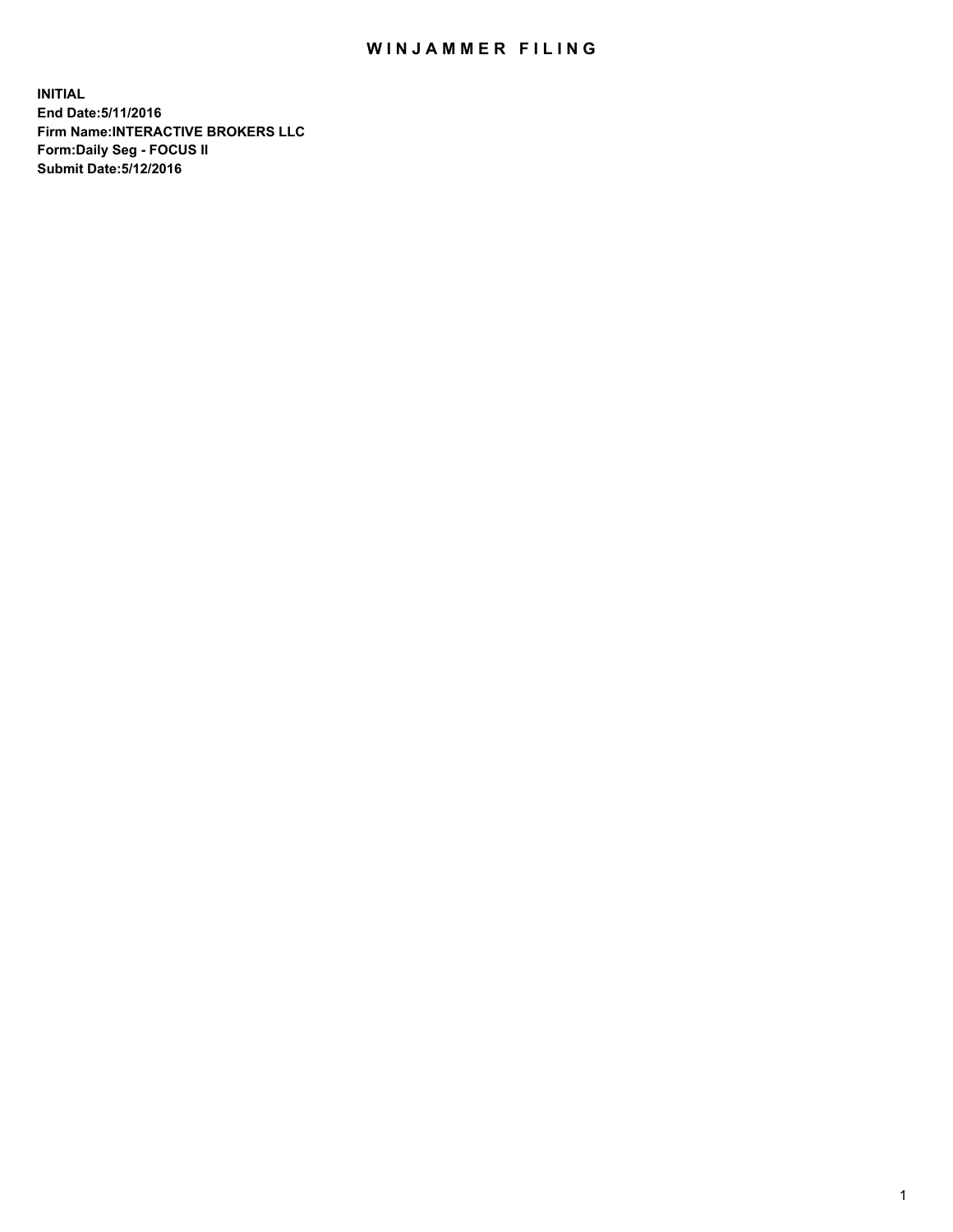## WIN JAMMER FILING

**INITIAL End Date:5/11/2016 Firm Name:INTERACTIVE BROKERS LLC Form:Daily Seg - FOCUS II Submit Date:5/12/2016**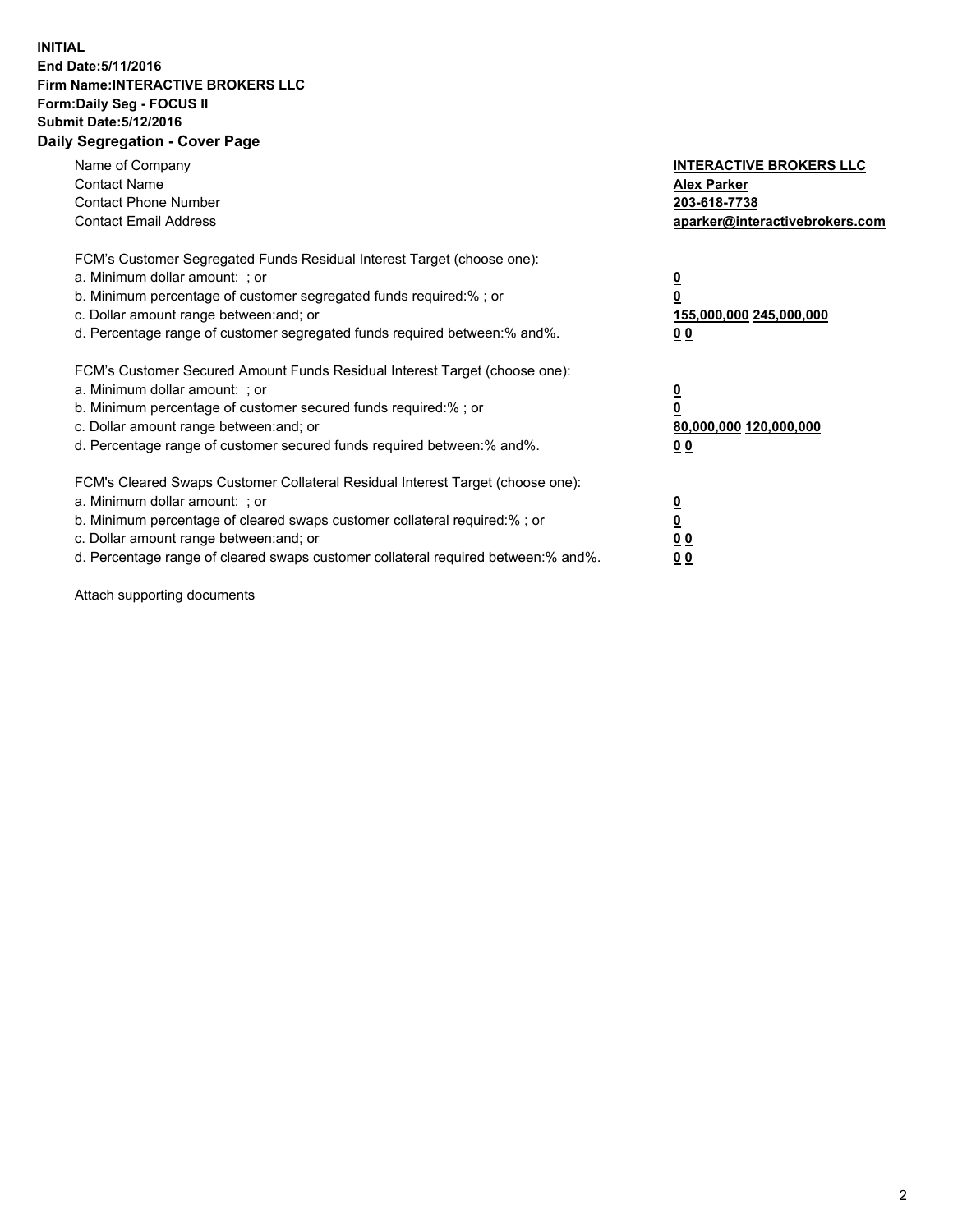## **INITIAL End Date:5/11/2016 Firm Name:INTERACTIVE BROKERS LLC Form:Daily Seg - FOCUS II Submit Date:5/12/2016 Daily Segregation - Cover Page**

| Name of Company<br><b>Contact Name</b><br><b>Contact Phone Number</b><br><b>Contact Email Address</b>                                                                                                                                                                                                                          | <b>INTERACTIVE BROKERS LLC</b><br><b>Alex Parker</b><br>203-618-7738<br>aparker@interactivebrokers.com |
|--------------------------------------------------------------------------------------------------------------------------------------------------------------------------------------------------------------------------------------------------------------------------------------------------------------------------------|--------------------------------------------------------------------------------------------------------|
| FCM's Customer Segregated Funds Residual Interest Target (choose one):<br>a. Minimum dollar amount: ; or<br>b. Minimum percentage of customer segregated funds required:% ; or<br>c. Dollar amount range between: and; or<br>d. Percentage range of customer segregated funds required between:% and%.                         | <u>0</u><br>155,000,000 245,000,000<br><u>00</u>                                                       |
| FCM's Customer Secured Amount Funds Residual Interest Target (choose one):<br>a. Minimum dollar amount: ; or<br>b. Minimum percentage of customer secured funds required:% ; or<br>c. Dollar amount range between: and; or<br>d. Percentage range of customer secured funds required between:% and%.                           | <u>0</u><br>80,000,000 120,000,000<br>0 <sub>0</sub>                                                   |
| FCM's Cleared Swaps Customer Collateral Residual Interest Target (choose one):<br>a. Minimum dollar amount: ; or<br>b. Minimum percentage of cleared swaps customer collateral required:% ; or<br>c. Dollar amount range between: and; or<br>d. Percentage range of cleared swaps customer collateral required between:% and%. | <u>0</u><br>0 <sub>0</sub><br>0 <sub>0</sub>                                                           |

Attach supporting documents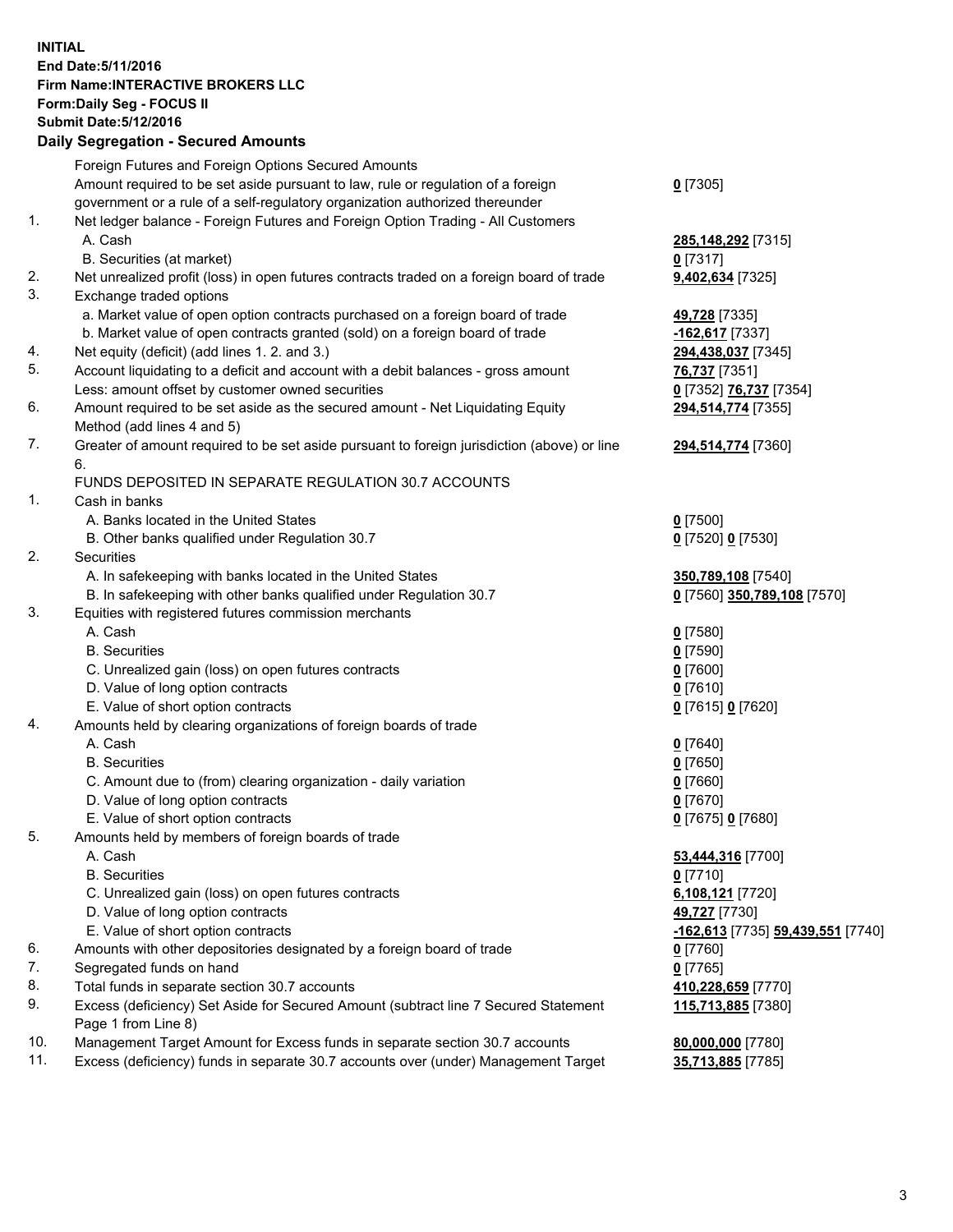## **INITIAL End Date:5/11/2016 Firm Name:INTERACTIVE BROKERS LLC Form:Daily Seg - FOCUS II Submit Date:5/12/2016 Daily Segregation - Secured Amounts**

|                | Daily Jegregation - Jeculed Aniounts                                                                       |                                   |
|----------------|------------------------------------------------------------------------------------------------------------|-----------------------------------|
|                | Foreign Futures and Foreign Options Secured Amounts                                                        |                                   |
|                | Amount required to be set aside pursuant to law, rule or regulation of a foreign                           | $0$ [7305]                        |
|                | government or a rule of a self-regulatory organization authorized thereunder                               |                                   |
| 1.             | Net ledger balance - Foreign Futures and Foreign Option Trading - All Customers                            |                                   |
|                | A. Cash                                                                                                    | 285,148,292 [7315]                |
|                | B. Securities (at market)                                                                                  | $0$ [7317]                        |
| 2.             | Net unrealized profit (loss) in open futures contracts traded on a foreign board of trade                  | 9,402,634 [7325]                  |
| 3.             | Exchange traded options                                                                                    |                                   |
|                | a. Market value of open option contracts purchased on a foreign board of trade                             | 49,728 [7335]                     |
|                | b. Market value of open contracts granted (sold) on a foreign board of trade                               | -162,617 [7337]                   |
| 4.             | Net equity (deficit) (add lines 1. 2. and 3.)                                                              | 294,438,037 [7345]                |
| 5.             | Account liquidating to a deficit and account with a debit balances - gross amount                          | 76,737 [7351]                     |
|                | Less: amount offset by customer owned securities                                                           | 0 [7352] 76,737 [7354]            |
| 6.             | Amount required to be set aside as the secured amount - Net Liquidating Equity                             | 294,514,774 [7355]                |
|                | Method (add lines 4 and 5)                                                                                 |                                   |
| 7.             | Greater of amount required to be set aside pursuant to foreign jurisdiction (above) or line                | 294,514,774 [7360]                |
|                | 6.                                                                                                         |                                   |
|                | FUNDS DEPOSITED IN SEPARATE REGULATION 30.7 ACCOUNTS                                                       |                                   |
| $\mathbf{1}$ . | Cash in banks                                                                                              |                                   |
|                | A. Banks located in the United States                                                                      | $0$ [7500]                        |
|                | B. Other banks qualified under Regulation 30.7                                                             | 0 [7520] 0 [7530]                 |
| 2.             | Securities                                                                                                 |                                   |
|                | A. In safekeeping with banks located in the United States                                                  | 350,789,108 [7540]                |
|                | B. In safekeeping with other banks qualified under Regulation 30.7                                         | 0 [7560] 350,789,108 [7570]       |
| 3.             | Equities with registered futures commission merchants                                                      |                                   |
|                | A. Cash                                                                                                    | $0$ [7580]                        |
|                | <b>B.</b> Securities                                                                                       | $0$ [7590]                        |
|                | C. Unrealized gain (loss) on open futures contracts                                                        | $0$ [7600]                        |
|                | D. Value of long option contracts                                                                          | $0$ [7610]                        |
|                | E. Value of short option contracts                                                                         | 0 [7615] 0 [7620]                 |
| 4.             | Amounts held by clearing organizations of foreign boards of trade                                          |                                   |
|                | A. Cash                                                                                                    | $0$ [7640]                        |
|                | <b>B.</b> Securities                                                                                       | $0$ [7650]                        |
|                | C. Amount due to (from) clearing organization - daily variation                                            | $0$ [7660]                        |
|                | D. Value of long option contracts                                                                          | $0$ [7670]                        |
|                | E. Value of short option contracts                                                                         | 0 [7675] 0 [7680]                 |
| 5.             | Amounts held by members of foreign boards of trade                                                         |                                   |
|                | A. Cash                                                                                                    | 53,444,316 [7700]                 |
|                | <b>B.</b> Securities                                                                                       | $0$ [7710]                        |
|                | C. Unrealized gain (loss) on open futures contracts                                                        | 6,108,121 [7720]                  |
|                | D. Value of long option contracts                                                                          | 49,727 [7730]                     |
|                | E. Value of short option contracts                                                                         | -162,613 [7735] 59,439,551 [7740] |
| 6.             | Amounts with other depositories designated by a foreign board of trade                                     | $0$ [7760]                        |
| 7.             | Segregated funds on hand                                                                                   | $0$ [7765]                        |
| 8.             | Total funds in separate section 30.7 accounts                                                              | 410,228,659 [7770]                |
| 9.             | Excess (deficiency) Set Aside for Secured Amount (subtract line 7 Secured Statement<br>Page 1 from Line 8) | 115,713,885 [7380]                |
| 10.            | Management Target Amount for Excess funds in separate section 30.7 accounts                                | 80,000,000 [7780]                 |
| 11.            | Excess (deficiency) funds in separate 30.7 accounts over (under) Management Target                         | 35,713,885 [7785]                 |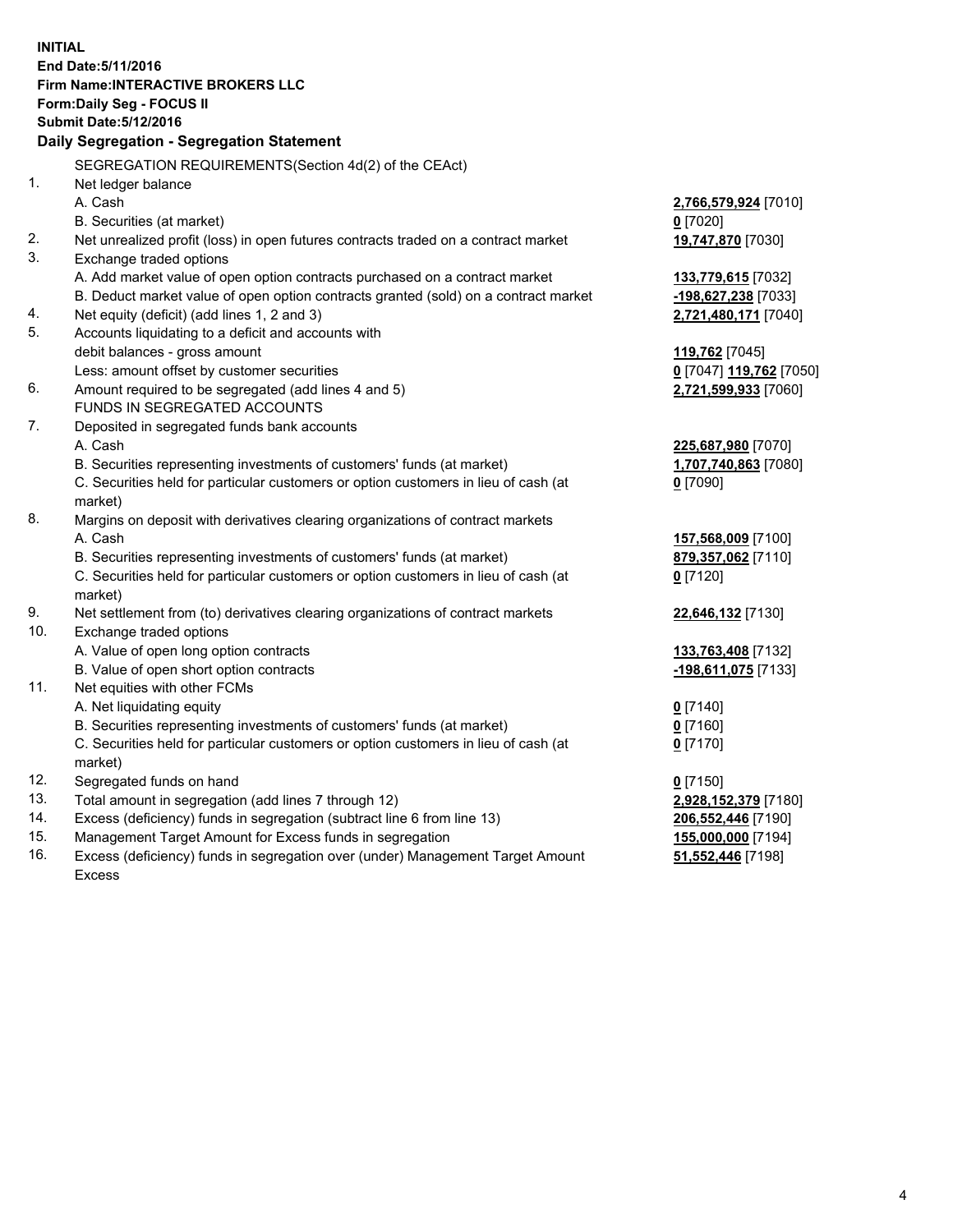**INITIAL End Date:5/11/2016 Firm Name:INTERACTIVE BROKERS LLC Form:Daily Seg - FOCUS II Submit Date:5/12/2016 Daily Segregation - Segregation Statement** SEGREGATION REQUIREMENTS(Section 4d(2) of the CEAct) 1. Net ledger balance A. Cash **2,766,579,924** [7010] B. Securities (at market) **0** [7020] 2. Net unrealized profit (loss) in open futures contracts traded on a contract market **19,747,870** [7030] 3. Exchange traded options A. Add market value of open option contracts purchased on a contract market **133,779,615** [7032] B. Deduct market value of open option contracts granted (sold) on a contract market **-198,627,238** [7033] 4. Net equity (deficit) (add lines 1, 2 and 3) **2,721,480,171** [7040] 5. Accounts liquidating to a deficit and accounts with debit balances - gross amount **119,762** [7045] Less: amount offset by customer securities **0** [7047] **119,762** [7050] 6. Amount required to be segregated (add lines 4 and 5) **2,721,599,933** [7060] FUNDS IN SEGREGATED ACCOUNTS 7. Deposited in segregated funds bank accounts A. Cash **225,687,980** [7070] B. Securities representing investments of customers' funds (at market) **1,707,740,863** [7080] C. Securities held for particular customers or option customers in lieu of cash (at market) **0** [7090] 8. Margins on deposit with derivatives clearing organizations of contract markets A. Cash **157,568,009** [7100] B. Securities representing investments of customers' funds (at market) **879,357,062** [7110] C. Securities held for particular customers or option customers in lieu of cash (at market) **0** [7120] 9. Net settlement from (to) derivatives clearing organizations of contract markets **22,646,132** [7130] 10. Exchange traded options A. Value of open long option contracts **133,763,408** [7132] B. Value of open short option contracts **-198,611,075** [7133] 11. Net equities with other FCMs A. Net liquidating equity **0** [7140] B. Securities representing investments of customers' funds (at market) **0** [7160] C. Securities held for particular customers or option customers in lieu of cash (at market) **0** [7170] 12. Segregated funds on hand **0** [7150] 13. Total amount in segregation (add lines 7 through 12) **2,928,152,379** [7180] 14. Excess (deficiency) funds in segregation (subtract line 6 from line 13) **206,552,446** [7190] 15. Management Target Amount for Excess funds in segregation **155,000,000** [7194] 16. Excess (deficiency) funds in segregation over (under) Management Target Amount **51,552,446** [7198]

Excess